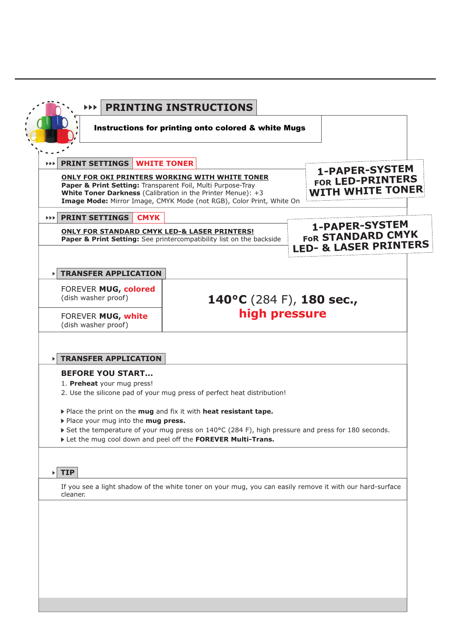